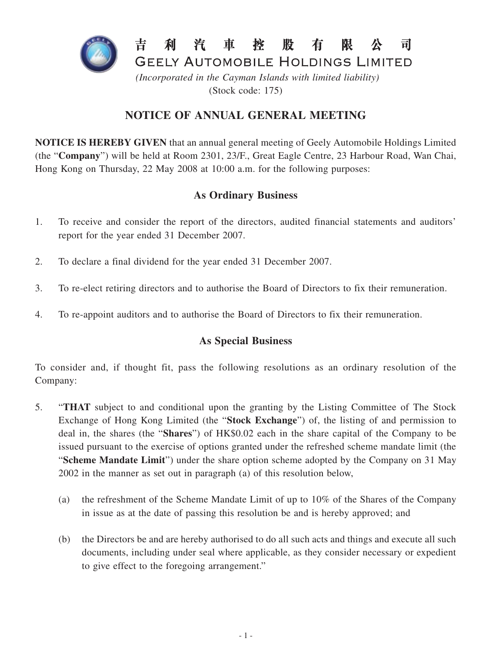

(Stock code: 175)

# **NOTICE OF ANNUAL GENERAL MEETING**

**NOTICE IS HEREBY GIVEN** that an annual general meeting of Geely Automobile Holdings Limited (the "**Company**") will be held at Room 2301, 23/F., Great Eagle Centre, 23 Harbour Road, Wan Chai, Hong Kong on Thursday, 22 May 2008 at 10:00 a.m. for the following purposes:

# **As Ordinary Business**

- 1. To receive and consider the report of the directors, audited financial statements and auditors' report for the year ended 31 December 2007.
- 2. To declare a final dividend for the year ended 31 December 2007.
- 3. To re-elect retiring directors and to authorise the Board of Directors to fix their remuneration.
- 4. To re-appoint auditors and to authorise the Board of Directors to fix their remuneration.

### **As Special Business**

To consider and, if thought fit, pass the following resolutions as an ordinary resolution of the Company:

- 5. "**THAT** subject to and conditional upon the granting by the Listing Committee of The Stock Exchange of Hong Kong Limited (the "**Stock Exchange**") of, the listing of and permission to deal in, the shares (the "**Shares**") of HK\$0.02 each in the share capital of the Company to be issued pursuant to the exercise of options granted under the refreshed scheme mandate limit (the "**Scheme Mandate Limit**") under the share option scheme adopted by the Company on 31 May 2002 in the manner as set out in paragraph (a) of this resolution below,
	- (a) the refreshment of the Scheme Mandate Limit of up to 10% of the Shares of the Company in issue as at the date of passing this resolution be and is hereby approved; and
	- (b) the Directors be and are hereby authorised to do all such acts and things and execute all such documents, including under seal where applicable, as they consider necessary or expedient to give effect to the foregoing arrangement."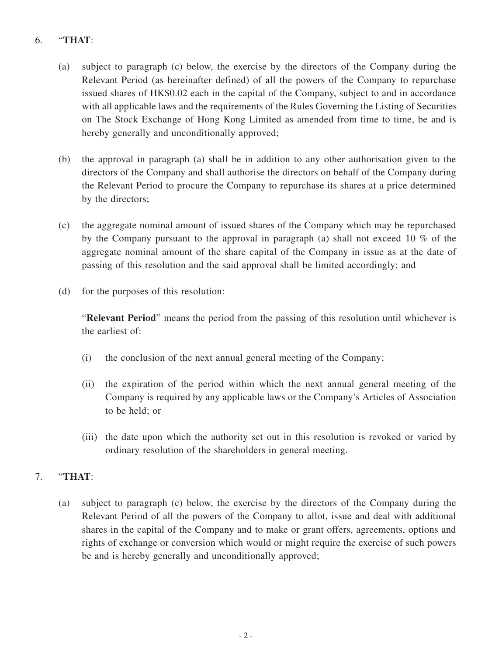# 6. "**THAT**:

- (a) subject to paragraph (c) below, the exercise by the directors of the Company during the Relevant Period (as hereinafter defined) of all the powers of the Company to repurchase issued shares of HK\$0.02 each in the capital of the Company, subject to and in accordance with all applicable laws and the requirements of the Rules Governing the Listing of Securities on The Stock Exchange of Hong Kong Limited as amended from time to time, be and is hereby generally and unconditionally approved;
- (b) the approval in paragraph (a) shall be in addition to any other authorisation given to the directors of the Company and shall authorise the directors on behalf of the Company during the Relevant Period to procure the Company to repurchase its shares at a price determined by the directors;
- (c) the aggregate nominal amount of issued shares of the Company which may be repurchased by the Company pursuant to the approval in paragraph (a) shall not exceed 10 % of the aggregate nominal amount of the share capital of the Company in issue as at the date of passing of this resolution and the said approval shall be limited accordingly; and
- (d) for the purposes of this resolution:

"**Relevant Period**" means the period from the passing of this resolution until whichever is the earliest of:

- (i) the conclusion of the next annual general meeting of the Company;
- (ii) the expiration of the period within which the next annual general meeting of the Company is required by any applicable laws or the Company's Articles of Association to be held; or
- (iii) the date upon which the authority set out in this resolution is revoked or varied by ordinary resolution of the shareholders in general meeting.

### 7. "**THAT**:

(a) subject to paragraph (c) below, the exercise by the directors of the Company during the Relevant Period of all the powers of the Company to allot, issue and deal with additional shares in the capital of the Company and to make or grant offers, agreements, options and rights of exchange or conversion which would or might require the exercise of such powers be and is hereby generally and unconditionally approved;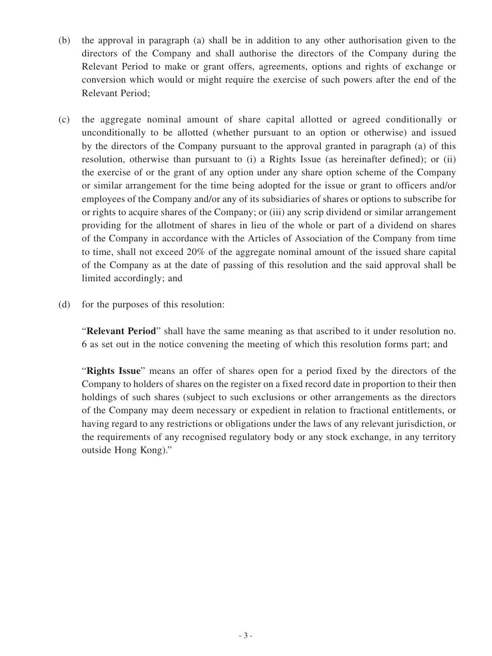- (b) the approval in paragraph (a) shall be in addition to any other authorisation given to the directors of the Company and shall authorise the directors of the Company during the Relevant Period to make or grant offers, agreements, options and rights of exchange or conversion which would or might require the exercise of such powers after the end of the Relevant Period;
- (c) the aggregate nominal amount of share capital allotted or agreed conditionally or unconditionally to be allotted (whether pursuant to an option or otherwise) and issued by the directors of the Company pursuant to the approval granted in paragraph (a) of this resolution, otherwise than pursuant to (i) a Rights Issue (as hereinafter defined); or (ii) the exercise of or the grant of any option under any share option scheme of the Company or similar arrangement for the time being adopted for the issue or grant to officers and/or employees of the Company and/or any of its subsidiaries of shares or options to subscribe for or rights to acquire shares of the Company; or (iii) any scrip dividend or similar arrangement providing for the allotment of shares in lieu of the whole or part of a dividend on shares of the Company in accordance with the Articles of Association of the Company from time to time, shall not exceed 20% of the aggregate nominal amount of the issued share capital of the Company as at the date of passing of this resolution and the said approval shall be limited accordingly; and
- (d) for the purposes of this resolution:

"**Relevant Period**" shall have the same meaning as that ascribed to it under resolution no. 6 as set out in the notice convening the meeting of which this resolution forms part; and

"**Rights Issue**" means an offer of shares open for a period fixed by the directors of the Company to holders of shares on the register on a fixed record date in proportion to their then holdings of such shares (subject to such exclusions or other arrangements as the directors of the Company may deem necessary or expedient in relation to fractional entitlements, or having regard to any restrictions or obligations under the laws of any relevant jurisdiction, or the requirements of any recognised regulatory body or any stock exchange, in any territory outside Hong Kong)."